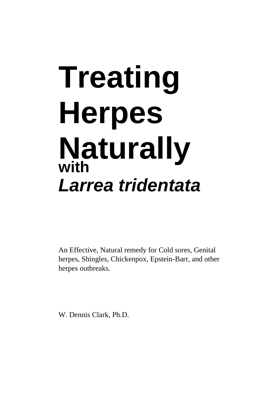# **Treating Herpes Naturally with**  *Larrea tridentata*

An Effective, Natural remedy for Cold sores, Genital herpes, Shingles, Chickenpox, Epstein-Barr, and other herpes outbreaks.

W. Dennis Clark, Ph.D.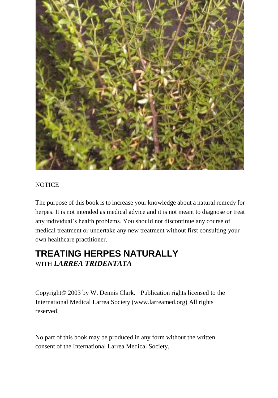

#### **NOTICE**

The purpose of this book is to increase your knowledge about a natural remedy for herpes. It is not intended as medical advice and it is not meant to diagnose or treat any individual's health problems. You should not discontinue any course of medical treatment or undertake any new treatment without first consulting your own healthcare practitioner.

#### **TREATING HERPES NATURALLY**  WITH *LARREA TRIDENTATA*

Copyright© 2003 by W. Dennis Clark. Publication rights licensed to the International Medical Larrea Society (www.larreamed.org) All rights reserved.

No part of this book may be produced in any form without the written consent of the International Larrea Medical Society.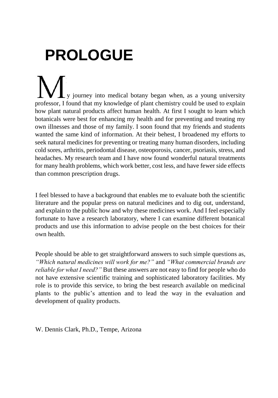## **PROLOGUE**

y journey into medical botany began when, as a young university professor, I found that my knowledge of plant chemistry could be used to explain how plant natural products affect human health. At first I sought to learn which botanicals were best for enhancing my health and for preventing and treating my own illnesses and those of my family. I soon found that my friends and students wanted the same kind of information. At their behest, I broadened my efforts to seek natural medicines for preventing or treating many human disorders, including cold sores, arthritis, periodontal disease, osteoporosis, cancer, psoriasis, stress, and headaches. My research team and I have now found wonderful natural treatments for many health problems, which work better, cost less, and have fewer side effects than common prescription drugs.

I feel blessed to have a background that enables me to evaluate both the scientific literature and the popular press on natural medicines and to dig out, understand, and explain to the public how and why these medicines work. And I feel especially fortunate to have a research laboratory, where I can examine different botanical products and use this information to advise people on the best choices for their own health.

People should be able to get straightforward answers to such simple questions as, *"Which natural medicines will work for me?"* and *"What commercial brands are reliable for what I need?"* But these answers are not easy to find for people who do not have extensive scientific training and sophisticated laboratory facilities. My role is to provide this service, to bring the best research available on medicinal plants to the public's attention and to lead the way in the evaluation and development of quality products.

W. Dennis Clark, Ph.D., Tempe, Arizona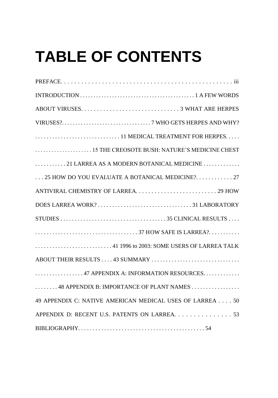## **TABLE OF CONTENTS**

| 15 THE CREOSOTE BUSH: NATURE'S MEDICINE CHEST                                            |
|------------------------------------------------------------------------------------------|
| 21 LARREA AS A MODERN BOTANICAL MEDICINE                                                 |
| 25 HOW DO YOU EVALUATE A BOTANICAL MEDICINE? 27                                          |
|                                                                                          |
|                                                                                          |
|                                                                                          |
|                                                                                          |
|                                                                                          |
| ABOUT THEIR RESULTS  43 SUMMARY                                                          |
| 47 APPENDIX A: INFORMATION RESOURCES                                                     |
| $\ldots \ldots$ . 48 APPENDIX B: IMPORTANCE OF PLANT NAMES $\ldots \ldots \ldots \ldots$ |
| 49 APPENDIX C: NATIVE AMERICAN MEDICAL USES OF LARREA 50                                 |
| APPENDIX D: RECENT U.S. PATENTS ON LARREA53                                              |
|                                                                                          |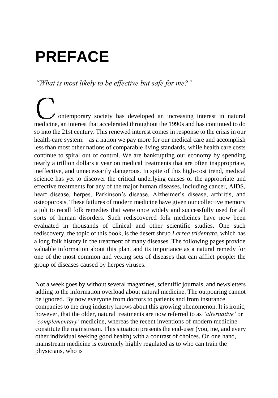#### **PREFACE**

*"What is most likely to be effective but safe for me?"* 

ontemporary society has developed an increasing interest in natural medicine, an interest that accelerated throughout the 1990s and has continued to do so into the 21st century. This renewed interest comes in response to the crisis in our health-care system: as a nation we pay more for our medical care and accomplish less than most other nations of comparable living standards, while health care costs continue to spiral out of control. We are bankrupting our economy by spending nearly a trillion dollars a year on medical treatments that are often inappropriate, ineffective, and unnecessarily dangerous. In spite of this high-cost trend, medical science has yet to discover the critical underlying causes or the appropriate and effective treatments for any of the major human diseases, including cancer, AIDS, heart disease, herpes, Parkinson's disease, Alzheimer's disease, arthritis, and osteoporosis. These failures of modern medicine have given our collective memory a jolt to recall folk remedies that were once widely and successfully used for all sorts of human disorders. Such rediscovered folk medicines have now been evaluated in thousands of clinical and other scientific studies. One such rediscovery, the topic of this book, is the desert shrub *Larrea tridentata*, which has a long folk history in the treatment of many diseases. The following pages provide valuable information about this plant and its importance as a natural remedy for one of the most common and vexing sets of diseases that can afflict people: the group of diseases caused by herpes viruses.

Not a week goes by without several magazines, scientific journals, and newsletters adding to the information overload about natural medicine. The outpouring cannot be ignored. By now everyone from doctors to patients and from insurance companies to the drug industry knows about this growing phenomenon. It is ironic, however, that the older, natural treatments are now referred to as *'alternative'* or *'complementary'* medicine, whereas the recent inventions of modern medicine constitute the mainstream. This situation presents the end-user (you, me, and every other individual seeking good health) with a contrast of choices. On one hand, mainstream medicine is extremely highly regulated as to who can train the physicians, who is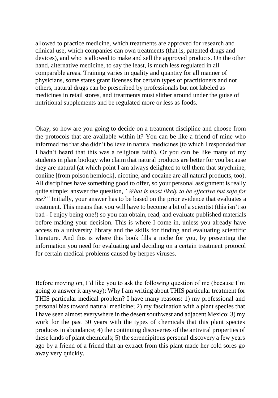allowed to practice medicine, which treatments are approved for research and clinical use, which companies can own treatments (that is, patented drugs and devices), and who is allowed to make and sell the approved products. On the other hand, alternative medicine, to say the least, is much less regulated in all comparable areas. Training varies in quality and quantity for all manner of physicians, some states grant licenses for certain types of practitioners and not others, natural drugs can be prescribed by professionals but not labeled as medicines in retail stores, and treatments must slither around under the guise of nutritional supplements and be regulated more or less as foods.

Okay, so how are you going to decide on a treatment discipline and choose from the protocols that are available within it? You can be like a friend of mine who informed me that she didn't believe in natural medicines (to which I responded that I hadn't heard that this was a religious faith). Or you can be like many of my students in plant biology who claim that natural products are better for you because they are natural (at which point I am always delighted to tell them that strychnine, coniine [from poison hemlock], nicotine, and cocaine are all natural products, too). All disciplines have something good to offer, so your personal assignment is really quite simple: answer the question, *"What is most likely to be effective but safe for me?"* Initially, your answer has to be based on the prior evidence that evaluates a treatment. This means that you will have to become a bit of a scientist (this isn't so bad - I enjoy being one!) so you can obtain, read, and evaluate published materials before making your decision. This is where I come in, unless you already have access to a university library and the skills for finding and evaluating scientific literature. And this is where this book fills a niche for you, by presenting the information you need for evaluating and deciding on a certain treatment protocol for certain medical problems caused by herpes viruses.

Before moving on, I'd like you to ask the following question of me (because I'm going to answer it anyway): Why I am writing about THIS particular treatment for THIS particular medical problem? I have many reasons: 1) my professional and personal bias toward natural medicine; 2) my fascination with a plant species that I have seen almost everywhere in the desert southwest and adjacent Mexico; 3) my work for the past 30 years with the types of chemicals that this plant species produces in abundance; 4) the continuing discoveries of the antiviral properties of these kinds of plant chemicals; 5) the serendipitous personal discovery a few years ago by a friend of a friend that an extract from this plant made her cold sores go away very quickly.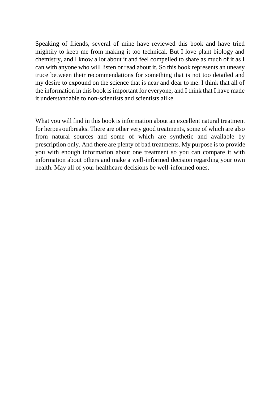Speaking of friends, several of mine have reviewed this book and have tried mightily to keep me from making it too technical. But I love plant biology and chemistry, and I know a lot about it and feel compelled to share as much of it as I can with anyone who will listen or read about it. So this book represents an uneasy truce between their recommendations for something that is not too detailed and my desire to expound on the science that is near and dear to me. I think that all of the information in this book is important for everyone, and I think that I have made it understandable to non-scientists and scientists alike.

What you will find in this book is information about an excellent natural treatment for herpes outbreaks. There are other very good treatments, some of which are also from natural sources and some of which are synthetic and available by prescription only. And there are plenty of bad treatments. My purpose is to provide you with enough information about one treatment so you can compare it with information about others and make a well-informed decision regarding your own health. May all of your healthcare decisions be well-informed ones.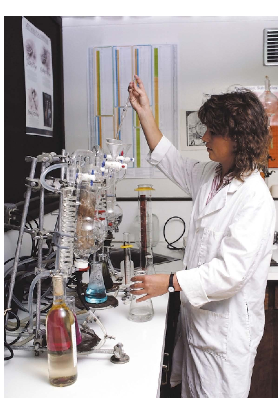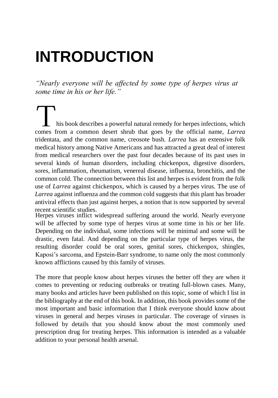#### **INTRODUCTION**

*"Nearly everyone will be affected by some type of herpes virus at some time in his or her life."* 

his book describes a powerful natural remedy for herpes infections, which comes from a common desert shrub that goes by the official name, *Larrea*  tridentata, and the common name, creosote bush. *Larrea* has an extensive folk medical history among Native Americans and has attracted a great deal of interest from medical researchers over the past four decades because of its past uses in several kinds of human disorders, including chickenpox, digestive disorders, sores, inflammation, rheumatism, venereal disease, influenza, bronchitis, and the common cold. The connection between this list and herpes is evident from the folk use of *Larrea* against chickenpox, which is caused by a herpes virus. The use of *Larrea* against influenza and the common cold suggests that this plant has broader antiviral effects than just against herpes, a notion that is now supported by several recent scientific studies.

Herpes viruses inflict widespread suffering around the world. Nearly everyone will be affected by some type of herpes virus at some time in his or her life. Depending on the individual, some infections will be minimal and some will be drastic, even fatal. And depending on the particular type of herpes virus, the resulting disorder could be oral sores, genital sores, chickenpox, shingles, Kaposi's sarcoma, and Epstein-Barr syndrome, to name only the most commonly known afflictions caused by this family of viruses.

The more that people know about herpes viruses the better off they are when it comes to preventing or reducing outbreaks or treating full-blown cases. Many, many books and articles have been published on this topic, some of which I list in the bibliography at the end of this book. In addition, this book provides some of the most important and basic information that I think everyone should know about viruses in general and herpes viruses in particular. The coverage of viruses is followed by details that you should know about the most commonly used prescription drug for treating herpes. This information is intended as a valuable addition to your personal health arsenal.